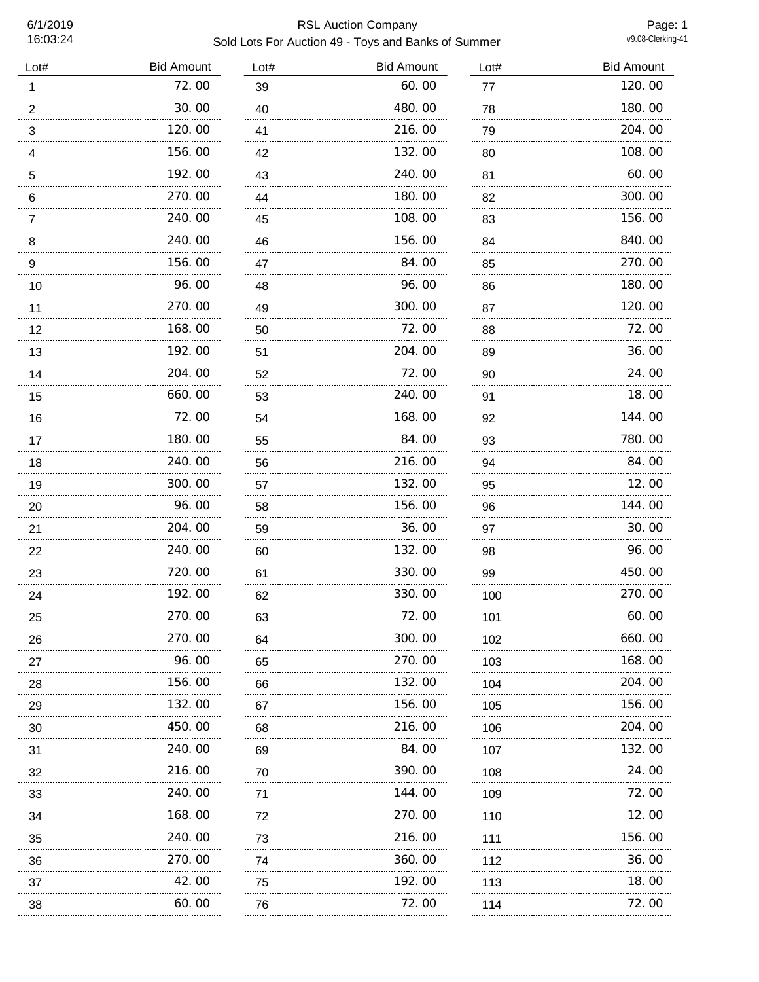# 6/1/2019 RSL Auction Company Sold Lots For Auction 49 - Toys and Banks of Summer

Page: 1<br>v9.08-Clerking-41

| Lot#                  | <b>Bid Amount</b> | Lot#    | <b>Bid Amount</b> | Lot#    | <b>Bid Amount</b> |
|-----------------------|-------------------|---------|-------------------|---------|-------------------|
| 1                     | 72.00             | 39      | 60.00             | 77      | 120.00            |
| $\boldsymbol{2}$      | 30.00             | 40      | 480.00            | 78      | 180.00            |
| 3<br>.                | 120.00            | 41<br>. | 216.00            | 79<br>. | 204.00            |
| 4                     | 156.00            | 42      | 132.00            | 80      | 108.00            |
| 5<br>.                | 192.00            | 43      | 240.00            | 81      | 60.00             |
| 6                     | 270.00            | 44      | 180.00            | 82      | 300.00            |
| 7                     | 240.00            | 45      | 108.00            | 83<br>. | 156.00            |
| 8                     | 240.00            | 46      | 156.00            | 84      | 840.00            |
| $\boldsymbol{9}$<br>. | 156.00<br>.       | 47<br>. | 84.00             | 85<br>. | 270.00            |
| 10                    | 96.00             | 48      | 96.00             | 86      | 180.00            |
| 11                    | 270.00            | 49      | 300.00            | 87      | 120.00            |
| 12                    | 168.00            | 50      | 72.00             | 88      | 72.00             |
| 13                    | 192.00            | 51      | 204.00            | 89      | 36.00             |
| 14                    | 204.00            | 52      | 72.00             | 90      | 24.00             |
| 15                    | 660.00            | 53      | 240.00            | 91      | 18.00             |
| 16                    | 72.00             | 54      | 168.00            | 92      | 144.00            |
| 17                    | 180.00<br>.       | 55      | 84.00             | 93      | 780.00            |
| 18                    | 240.00            | 56      | 216.00            | 94      | 84.00             |
| 19                    | 300.00            | 57      | 132.00            | 95      | 12.00             |
| 20                    | 96.00<br>.        | 58      | 156.00<br>.       | 96      | 144.00            |
| 21                    | 204.00            | 59      | 36.00             | 97      | 30.00             |
| 22                    | 240.00<br>.       | 60      | 132.00<br>.       | 98      | 96.00             |
| 23                    | 720.00<br>.       | 61      | 330.00            | 99      | 450.00            |
| 24                    | 192.00            | 62      | 330.00            | 100     | 270.00            |
| 25                    | 270.00            | 63      | 72.00             | 101     | 60.00             |
| 26                    | 270.00            | 64      | 300.00            | 102     | 660.00            |
| 27                    | 96.00             | 65      | 270.00            | 103     | 168.00            |
| 28                    | 156.00            | 66      | 132.00            | 104     | 204.00            |
| 29                    | 132.00            | 67      | 156.00            | 105     | 156.00            |
| 30                    | 450.00            | 68      | 216.00            | 106     | 204.00            |
| 31                    | 240.00            | 69      | 84.00             | 107     | 132.00            |
| 32                    | 216.00            | 70      | 390.00            | 108     | 24.00             |
| 33                    | 240.00            | 71      | 144.00            | 109     | 72.00             |
| 34                    | 168.00            | 72      | 270.00            | 110     | 12.00             |
| 35                    | 240.00            | 73      | 216.00            | 111     | 156.00            |
| 36                    | 270.00            | 74      | 360.00            | 112     | 36.00             |
| 37                    | 42.00             | 75      | 192.00            | 113     | 18.00             |
| 38                    | 60.00             | 76      | 72.00             | 114     | 72.00             |
|                       |                   |         |                   |         |                   |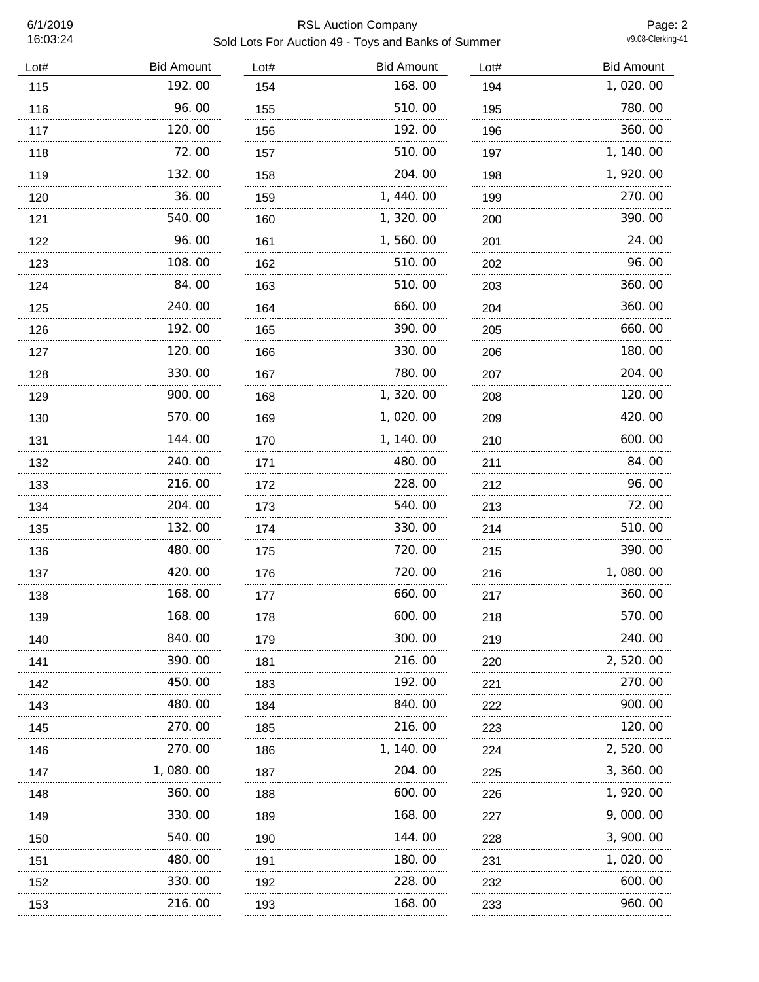# 6/1/2019 RSL Auction Company Sold Lots For Auction 49 - Toys and Banks of Summer

Page: 2<br>v9.08-Clerking-41

| Lot# | <b>Bid Amount</b> | Lot#     | <b>Bid Amount</b> | Lot#     | <b>Bid Amount</b> |
|------|-------------------|----------|-------------------|----------|-------------------|
| 115  | 192.00            | 154      | 168.00            | 194      | 1,020.00          |
| 116  | 96.00             | 155      | 510.00            | 195      | 780.00            |
| 117  | 120.00            | 156      | 192.00            | 196      | 360.00            |
| 118  | 72.00             | 157      | 510.00            | 197      | 1, 140.00         |
| 119  | 132.00            | 158      | 204.00            | 198      | 1, 920.00         |
| 120  | 36.00             | 159      | 1,440.00          | 199      | 270.00            |
| 121  | 540.00            | 160      | 1,320.00          | 200      | 390.00            |
| 122  | 96.00<br>.        | 161      | 1,560.00<br>.     | 201      | 24.00             |
| 123  | 108.00            | 162      | 510.00            | 202      | 96.00             |
| 124  | 84.00             | 163      | 510.00            | 203      | 360.00            |
| 125  | 240.00            | 164      | 660.00            | 204      | 360.00            |
| 126  | 192.00            | 165      | 390.00            | 205      | 660.00            |
| 127  | 120.00            | 166      | 330.00            | 206      | 180.00            |
| 128  | 330.00            | 167      | 780.00            | 207      | 204.00            |
| 129  | 900.00            | 168      | 1,320.00          | 208      | 120.00            |
| 130  | 570.00            | 169      | 1,020.00          | 209      | 420.00            |
| 131  | 144.00            | 170      | 1, 140.00         | 210      | 600.00            |
| 132  | 240.00            | 171      | 480.00            | 211      | 84.00             |
| 133  | 216.00            | 172      | 228.00            | 212      | 96.00             |
| 134  | 204.00            | 173      | 540.00            | 213      | 72.00             |
| 135  | 132.00            | 174      | 330.00            | 214      | 510.00            |
| 136  | 480.00            | 175<br>. | 720.00            | 215<br>. | 390.00            |
| 137  | 420.00            | 176      | 720.00            | 216      | 1,080.00          |
| 138  | 168.00            | 177<br>. | 660.00            | 217      | 360.00            |
| 139  | 168.00            | 178      | 600.00            | 218      | 570.00            |
| 140  | 840. 00           | 179      | 300.00            | 219      | 240.00            |
| 141  | 390.00            | 181      | 216.00            | 220<br>. | 2, 520.00         |
| 142  | 450.00            | 183      | 192.00            | 221      | 270.00            |
| 143  | 480.00            | 184      | 840.00            | 222      | 900.00            |
| 145  | 270.00            | 185      | 216.00            | 223      | 120.00            |
| 146  | 270.00            | 186      | 1, 140. 00        | 224      | 2, 520.00         |
| 147  | 1,080.00          | 187      | 204.00            | 225      | 3, 360. 00        |
| 148  | 360.00            | 188      | 600.00            | 226      | 1, 920.00         |
| 149  | 330.00            | 189      | 168.00            | 227      | 9,000.00          |
| 150  | 540.00            | 190      | 144. 00           | 228      | 3, 900. 00        |
| 151  | 480.00            | 191      | 180.00            | 231      | 1, 020. 00        |
| 152  | <br>330.00        | 192      | 228.00            | 232      | 600.00            |
| 153  | 216.00            | 193      | 168.00            | 233      | 960.00            |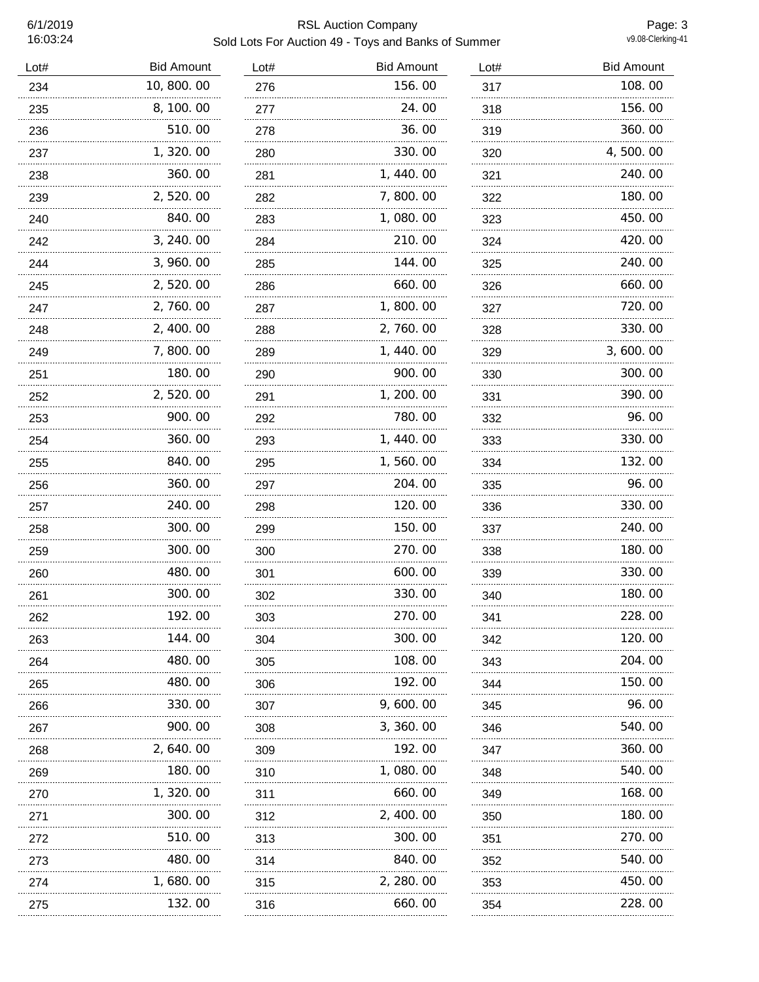# 6/1/2019 RSL Auction Company Sold Lots For Auction 49 - Toys and Banks of Summer

Page: 3<br>v9.08-Clerking-41

| Lot# | <b>Bid Amount</b> | Lot# | <b>Bid Amount</b> | Lot# | <b>Bid Amount</b> |
|------|-------------------|------|-------------------|------|-------------------|
| 234  | 10,800.00         | 276  | 156.00            | 317  | 108.00            |
| 235  | 8, 100.00         | 277  | 24.00             | 318  | 156.00            |
| 236  | 510.00            | 278  | 36. 00            | 319  | 360.00            |
| 237  | 1, 320.00         | 280  | 330.00            | 320  | 4,500.00          |
| 238  | 360.00            | 281  | 1, 440.00         | 321  | 240.00            |
| 239  | 2,520.00          | 282  | 7,800.00          | 322  | 180.00            |
| 240  | 840.00            | 283  | 1,080.00          | 323  | 450.00            |
| 242  | 3, 240.00         | 284  | 210.00            | 324  | 420.00            |
| 244  | 3, 960.00         | 285  | 144.00            | 325  | 240.00            |
| 245  | 2,520.00          | 286  | 660.00            | 326  | 660.00            |
| 247  | 2,760.00          | 287  | 1,800.00          | 327  | 720.00            |
| 248  | 2, 400.00         | 288  | 2, 760.00         | 328  | 330.00            |
| 249  | 7,800.00          | 289  | 1, 440.00         | 329  | 3,600.00          |
| 251  | 180.00            | 290  | 900.00            | 330  | 300.00            |
| 252  | 2,520.00          | 291  | 1, 200.00         | 331  | 390.00            |
| 253  | 900.00            | 292  | 780.00            | 332  | 96.00             |
| 254  | 360.00            | 293  | 1, 440.00         | 333  | 330.00            |
| 255  | 840.00            | 295  | 1,560.00          | 334  | 132.00            |
| 256  | 360.00            | 297  | 204.00            | 335  | 96.00             |
| 257  | 240.00<br>.       | 298  | 120.00            | 336  | 330.00            |
| 258  | 300. 00           | 299  | 150.00            | 337  | 240.00            |
| 259  | 300.00            | 300  | 270.00            | 338  | 180.00            |
| 260  | 480.00            | 301  | 600.00            | 339  | 330.00            |
| 261  | 300.00            | 302  | 330.00            | 340  | 180.00            |
| 262  | 192.00            | 303  | 270.00            | 341  | 228.00            |
| 263  | 144.00            | 304  | 300.00            | 342  | 120.00            |
| 264  | 480.00            | 305  | 108.00            | 343  | 204.00            |
| 265  | 480.00            | 306  | 192.00            | 344  | 150.00            |
| 266  | 330.00            | 307  | 9,600.00          | 345  | 96.00             |
| 267  | 900.00            | 308  | 3, 360.00         | 346  | 540.00            |
| 268  | 2, 640. 00        | 309  | 192.00            | 347  | 360.00            |
| 269  | 180.00            | 310  | 1,080.00          | 348  | 540.00            |
| 270  | 1, 320. 00        | 311  | 660.00            | 349  | 168.00            |
| 271  | 300.00            | 312  | 2, 400.00         | 350  | 180.00            |
| 272  | 510.00            | 313  | 300.00            | 351  | 270.00            |
| 273  | 480.00            | 314  | 840.00            | 352  | 540.00            |
| 274  | 1,680.00          | 315  | 2, 280.00         | 353  | 450.00            |
| 275  | 132.00            | 316  | 660.00            | 354  | 228.00            |
|      |                   |      |                   |      |                   |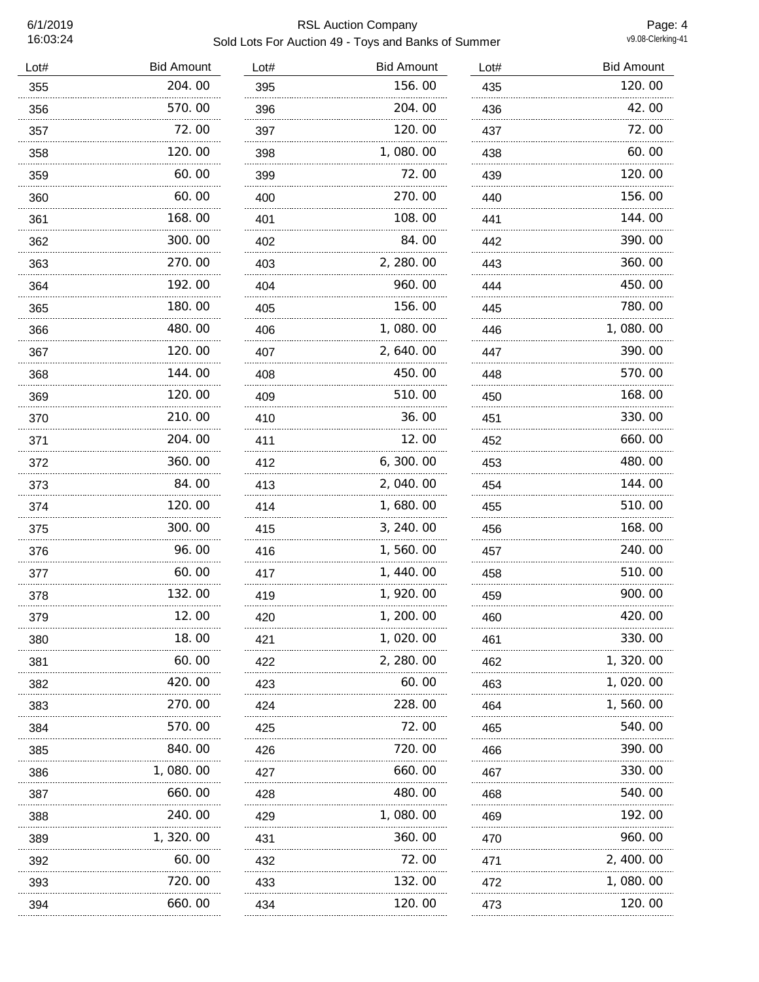# 6/1/2019 RSL Auction Company Sold Lots For Auction 49 - Toys and Banks of Summer

Page: 4<br>v9.08-Clerking-41

| Lot# | <b>Bid Amount</b> | Lot# | <b>Bid Amount</b> | Lot#     | <b>Bid Amount</b> |
|------|-------------------|------|-------------------|----------|-------------------|
| 355  | 204.00            | 395  | 156.00            | 435      | 120.00            |
| 356  | 570.00            | 396  | 204.00            | 436      | 42.00             |
| 357  | 72.00             | 397  | 120.00            | 437      | 72.00             |
| 358  | 120.00            | 398  | 1,080.00          | 438      | 60.00             |
| 359  | 60.00             | 399  | 72.00             | 439      | 120.00            |
| 360  | 60.00             | 400  | 270.00            | 440      | 156.00            |
| 361  | 168.00            | 401  | 108.00            | 441      | 144.00            |
| 362  | 300.00            | 402  | 84.00             | 442      | 390.00            |
| 363  | 270.00            | 403  | 2, 280.00         | 443      | 360.00            |
| 364  | 192.00            | 404  | 960.00            | 444      | 450.00            |
| 365  | 180.00            | 405  | 156.00            | 445      | 780.00            |
| 366  | 480.00            | 406  | 1,080.00          | 446      | 1,080.00          |
| 367  | 120.00<br>.       | 407  | 2,640.00          | 447      | 390.00            |
| 368  | 144.00<br>.       | 408  | 450.00            | 448      | 570.00            |
| 369  | 120.00            | 409  | 510.00            | 450      | 168.00            |
| 370  | 210.00            | 410  | 36.00             | 451      | 330.00            |
| 371  | 204.00            | 411  | 12.00             | 452      | 660.00            |
| 372  | 360.00            | 412  | 6, 300.00         | 453      | 480.00            |
| 373  | 84.00             | 413  | 2,040.00          | 454      | 144.00            |
| 374  | 120.00            | 414  | 1,680.00          | 455      | 510.00            |
| 375  | 300.00            | 415  | 3, 240.00         | 456      | 168.00            |
| 376  | 96.00             | 416  | 1,560.00          | 457      | 240.00            |
| 377  | 60.00             | 417  | 1,440.00          | 458      | 510.00            |
| 378  | 132.00            | 419  | 1,920.00          | 459      | 900.00            |
| 379  | 12.00             | 420  | 1, 200. 00        | 460      | 420.00            |
| 380  | 18.00             | 421  | 1, 020. 00        | 461      | 330.00            |
| 381  | 60.00             | 422  | 2, 280.00         | 462      | 1, 320. 00        |
| 382  | 420.00            | 423  | 60.00             | 463      | 1, 020. 00        |
| 383  | .<br>270.00       | 424  | 228.00            | 464      | 1, 560. 00        |
| 384  | 570.00            | 425  | 72.00             | 465      | 540.00            |
| 385  | 840.00            | 426  | 720.00            | 466      | 390.00            |
| 386  | 1,080.00          | 427  | 660.00            | 467      | 330.00            |
| 387  | 660.00            | 428  | 480.00            | 468      | 540.00            |
| 388  | 240.00            | 429  | 1,080.00          | 469      | 192.00            |
| 389  | 1, 320. 00        | 431  | 360.00            | 470      | 960.00            |
| 392  | 60.00             | 432  | 72.00             | 471      | 2, 400. 00        |
| 393  | 720.00            | 433  | 132.00            | 472      | 1,080.00          |
| 394  | 660.00            | 434  | 120.00            | .<br>473 | 120.00            |